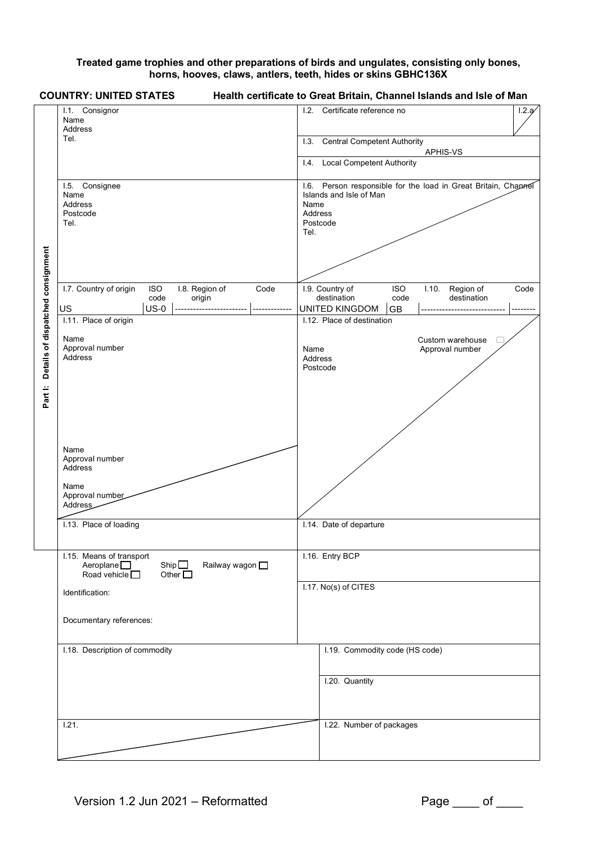## **Treated game trophies and other preparations of birds and ungulates, consisting only bones, horns, hooves, claws, antlers, teeth, hides or skins GBHC136X**

|                                              | <b>COUNTRY: UNITED STATES</b>                                                                                                             | Health certificate to Great Britain, Channel Islands and Isle of Man                                                                    |
|----------------------------------------------|-------------------------------------------------------------------------------------------------------------------------------------------|-----------------------------------------------------------------------------------------------------------------------------------------|
|                                              | I.1. Consignor<br>Name<br>Address                                                                                                         | Certificate reference no<br>1.2.<br>1.2.9                                                                                               |
|                                              | Tel.                                                                                                                                      | <b>Central Competent Authority</b><br>1.3.                                                                                              |
|                                              |                                                                                                                                           | APHIS-VS<br><b>Local Competent Authority</b><br>$\overline{14}$                                                                         |
|                                              |                                                                                                                                           |                                                                                                                                         |
|                                              | I.5. Consignee<br>Name<br>Address<br>Postcode<br>Tel.                                                                                     | 1.6. Person responsible for the load in Great Britain, Channel<br>Islands and Isle of Man<br>Name<br>Address<br>Postcode<br>Tel.        |
|                                              |                                                                                                                                           |                                                                                                                                         |
|                                              | I.7. Country of origin<br><b>ISO</b><br>I.8. Region of<br>Code<br>code<br>origin<br>US<br>$US-0$                                          | I.9. Country of<br><b>ISO</b><br>1.10.<br>Region of<br>Code<br>destination<br>destination<br>code<br><b>UNITED KINGDOM</b><br><b>GB</b> |
|                                              | I.11. Place of origin                                                                                                                     | I.12. Place of destination                                                                                                              |
| Details of dispatched consignment<br>Part I: | Name<br>Approval number<br>Address                                                                                                        | Custom warehouse<br>Name<br>Approval number<br>Address<br>Postcode                                                                      |
|                                              | Name<br>Approval number<br>Address<br>Name<br>Approval number<br>Address                                                                  |                                                                                                                                         |
|                                              |                                                                                                                                           |                                                                                                                                         |
|                                              | I.13. Place of loading                                                                                                                    | I.14. Date of departure                                                                                                                 |
|                                              | I.15. Means of transport<br>Aeroplane $\square$<br>Ship $\square$<br>Railway wagon $\square$<br>Road vehicle $\square$<br>Other $\square$ | I.16. Entry BCP                                                                                                                         |
|                                              | Identification:                                                                                                                           | I.17. No(s) of CITES                                                                                                                    |
|                                              | Documentary references:                                                                                                                   |                                                                                                                                         |
|                                              | I.18. Description of commodity                                                                                                            | I.19. Commodity code (HS code)                                                                                                          |
|                                              |                                                                                                                                           | I.20. Quantity                                                                                                                          |
|                                              | 1.21.                                                                                                                                     | I.22. Number of packages                                                                                                                |
|                                              |                                                                                                                                           |                                                                                                                                         |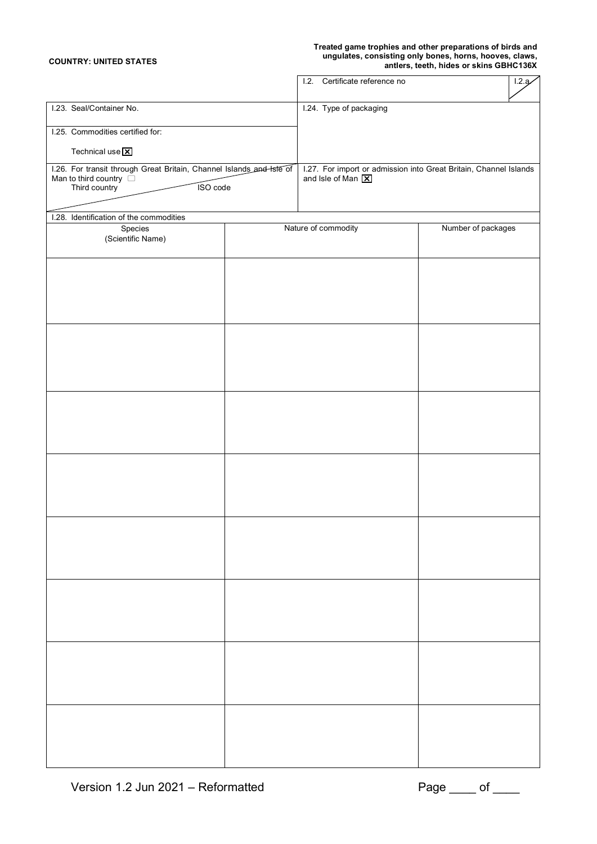**COUNTRY: UNITED STATES** 

## **Treated game trophies and other preparations of birds and ungulates, consisting only bones, horns, hooves, claws, antlers, teeth, hides or skins GBHC136X**

|                                                                         | Certificate reference no<br>1.2.                                  | 1.2.3              |
|-------------------------------------------------------------------------|-------------------------------------------------------------------|--------------------|
| I.23. Seal/Container No.                                                | I.24. Type of packaging                                           |                    |
| I.25. Commodities certified for:                                        |                                                                   |                    |
| Technical use <sup>[X]</sup>                                            |                                                                   |                    |
| 1.26. For transit through Great Britain, Channel Islands and Isle of    | I.27. For import or admission into Great Britain, Channel Islands |                    |
| Man to third country $\overline{\bigcirc}$<br>Third country<br>ISO code | and Isle of Man X                                                 |                    |
|                                                                         |                                                                   |                    |
| I.28. Identification of the commodities                                 | Nature of commodity                                               | Number of packages |
| Species<br>(Scientific Name)                                            |                                                                   |                    |
|                                                                         |                                                                   |                    |
|                                                                         |                                                                   |                    |
|                                                                         |                                                                   |                    |
|                                                                         |                                                                   |                    |
|                                                                         |                                                                   |                    |
|                                                                         |                                                                   |                    |
|                                                                         |                                                                   |                    |
|                                                                         |                                                                   |                    |
|                                                                         |                                                                   |                    |
|                                                                         |                                                                   |                    |
|                                                                         |                                                                   |                    |
|                                                                         |                                                                   |                    |
|                                                                         |                                                                   |                    |
|                                                                         |                                                                   |                    |
|                                                                         |                                                                   |                    |
|                                                                         |                                                                   |                    |
|                                                                         |                                                                   |                    |
|                                                                         |                                                                   |                    |
|                                                                         |                                                                   |                    |
|                                                                         |                                                                   |                    |
|                                                                         |                                                                   |                    |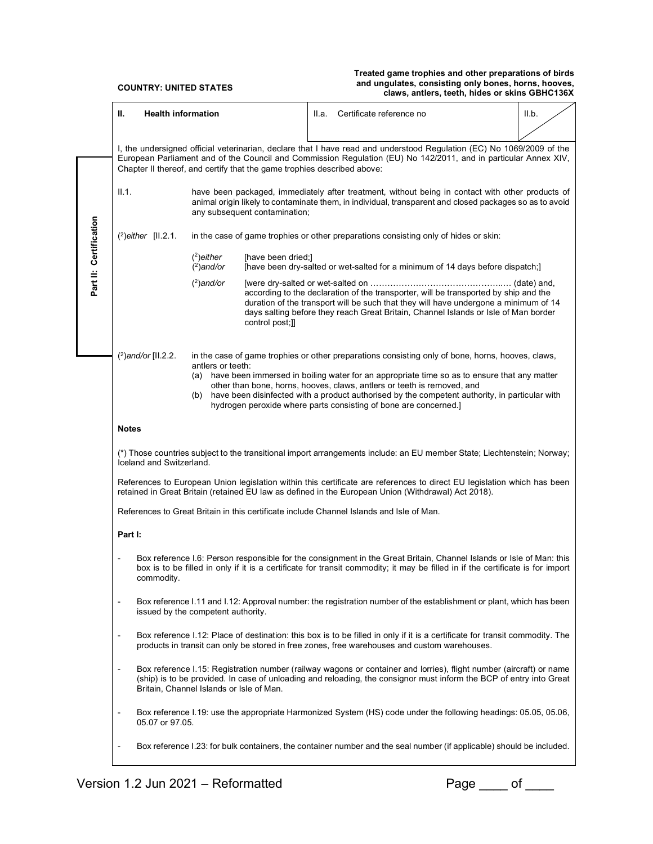**Treated game trophies and other preparations of birds and ungulates, consisting only bones, horns, hooves, COUNTRY: UNITED STATES claws, antlers, teeth, hides or skins GBHC136X** 

|                                                                                                                                                                                                                                                                                                                     | Н.<br><b>Health information</b>                                                                                                                                                                                                                                                                                                                                                                                                                                                                                                                                                                                                                                                                                           |                              |                                                                                                      | II.a. Certificate reference no                                                                                                                                                                                                                                                                                                                                                                                                                        | II.b. |  |
|---------------------------------------------------------------------------------------------------------------------------------------------------------------------------------------------------------------------------------------------------------------------------------------------------------------------|---------------------------------------------------------------------------------------------------------------------------------------------------------------------------------------------------------------------------------------------------------------------------------------------------------------------------------------------------------------------------------------------------------------------------------------------------------------------------------------------------------------------------------------------------------------------------------------------------------------------------------------------------------------------------------------------------------------------------|------------------------------|------------------------------------------------------------------------------------------------------|-------------------------------------------------------------------------------------------------------------------------------------------------------------------------------------------------------------------------------------------------------------------------------------------------------------------------------------------------------------------------------------------------------------------------------------------------------|-------|--|
| I, the undersigned official veterinarian, declare that I have read and understood Regulation (EC) No 1069/2009 of the<br>European Parliament and of the Council and Commission Regulation (EU) No 142/2011, and in particular Annex XIV,<br>Chapter II thereof, and certify that the game trophies described above: |                                                                                                                                                                                                                                                                                                                                                                                                                                                                                                                                                                                                                                                                                                                           |                              |                                                                                                      |                                                                                                                                                                                                                                                                                                                                                                                                                                                       |       |  |
|                                                                                                                                                                                                                                                                                                                     | II.1.<br>have been packaged, immediately after treatment, without being in contact with other products of<br>animal origin likely to contaminate them, in individual, transparent and closed packages so as to avoid<br>any subsequent contamination;                                                                                                                                                                                                                                                                                                                                                                                                                                                                     |                              |                                                                                                      |                                                                                                                                                                                                                                                                                                                                                                                                                                                       |       |  |
|                                                                                                                                                                                                                                                                                                                     | $(2)$ either [II.2.1.                                                                                                                                                                                                                                                                                                                                                                                                                                                                                                                                                                                                                                                                                                     |                              | in the case of game trophies or other preparations consisting only of hides or skin:                 |                                                                                                                                                                                                                                                                                                                                                                                                                                                       |       |  |
| Part II: Certification                                                                                                                                                                                                                                                                                              |                                                                                                                                                                                                                                                                                                                                                                                                                                                                                                                                                                                                                                                                                                                           | $(2)$ either<br>$(2)$ and/or | [have been dried;]<br>[have been dry-salted or wet-salted for a minimum of 14 days before dispatch;] |                                                                                                                                                                                                                                                                                                                                                                                                                                                       |       |  |
|                                                                                                                                                                                                                                                                                                                     | $(2)$ and/or<br>control post;]]                                                                                                                                                                                                                                                                                                                                                                                                                                                                                                                                                                                                                                                                                           |                              |                                                                                                      | according to the declaration of the transporter, will be transported by ship and the<br>duration of the transport will be such that they will have undergone a minimum of 14<br>days salting before they reach Great Britain, Channel Islands or Isle of Man border                                                                                                                                                                                   |       |  |
|                                                                                                                                                                                                                                                                                                                     | $(2)$ and/or [II.2.2.                                                                                                                                                                                                                                                                                                                                                                                                                                                                                                                                                                                                                                                                                                     | antlers or teeth:<br>(b)     |                                                                                                      | in the case of game trophies or other preparations consisting only of bone, horns, hooves, claws,<br>(a) have been immersed in boiling water for an appropriate time so as to ensure that any matter<br>other than bone, horns, hooves, claws, antlers or teeth is removed, and<br>have been disinfected with a product authorised by the competent authority, in particular with<br>hydrogen peroxide where parts consisting of bone are concerned.] |       |  |
|                                                                                                                                                                                                                                                                                                                     | <b>Notes</b>                                                                                                                                                                                                                                                                                                                                                                                                                                                                                                                                                                                                                                                                                                              |                              |                                                                                                      |                                                                                                                                                                                                                                                                                                                                                                                                                                                       |       |  |
|                                                                                                                                                                                                                                                                                                                     | (*) Those countries subject to the transitional import arrangements include: an EU member State; Liechtenstein; Norway;<br>Iceland and Switzerland.                                                                                                                                                                                                                                                                                                                                                                                                                                                                                                                                                                       |                              |                                                                                                      |                                                                                                                                                                                                                                                                                                                                                                                                                                                       |       |  |
|                                                                                                                                                                                                                                                                                                                     | References to European Union legislation within this certificate are references to direct EU legislation which has been<br>retained in Great Britain (retained EU law as defined in the European Union (Withdrawal) Act 2018).                                                                                                                                                                                                                                                                                                                                                                                                                                                                                            |                              |                                                                                                      |                                                                                                                                                                                                                                                                                                                                                                                                                                                       |       |  |
|                                                                                                                                                                                                                                                                                                                     | References to Great Britain in this certificate include Channel Islands and Isle of Man.                                                                                                                                                                                                                                                                                                                                                                                                                                                                                                                                                                                                                                  |                              |                                                                                                      |                                                                                                                                                                                                                                                                                                                                                                                                                                                       |       |  |
|                                                                                                                                                                                                                                                                                                                     | Part I:                                                                                                                                                                                                                                                                                                                                                                                                                                                                                                                                                                                                                                                                                                                   |                              |                                                                                                      |                                                                                                                                                                                                                                                                                                                                                                                                                                                       |       |  |
|                                                                                                                                                                                                                                                                                                                     | Box reference I.6: Person responsible for the consignment in the Great Britain, Channel Islands or Isle of Man: this<br>box is to be filled in only if it is a certificate for transit commodity; it may be filled in if the certificate is for import<br>commodity.<br>Box reference I.11 and I.12: Approval number: the registration number of the establishment or plant, which has been<br>$\overline{\phantom{m}}$<br>issued by the competent authority.<br>Box reference I.12: Place of destination: this box is to be filled in only if it is a certificate for transit commodity. The<br>$\overline{\phantom{a}}$<br>products in transit can only be stored in free zones, free warehouses and custom warehouses. |                              |                                                                                                      |                                                                                                                                                                                                                                                                                                                                                                                                                                                       |       |  |
|                                                                                                                                                                                                                                                                                                                     |                                                                                                                                                                                                                                                                                                                                                                                                                                                                                                                                                                                                                                                                                                                           |                              |                                                                                                      |                                                                                                                                                                                                                                                                                                                                                                                                                                                       |       |  |
|                                                                                                                                                                                                                                                                                                                     |                                                                                                                                                                                                                                                                                                                                                                                                                                                                                                                                                                                                                                                                                                                           |                              |                                                                                                      |                                                                                                                                                                                                                                                                                                                                                                                                                                                       |       |  |
|                                                                                                                                                                                                                                                                                                                     | Box reference I.15: Registration number (railway wagons or container and lorries), flight number (aircraft) or name<br>$\overline{\phantom{m}}$<br>(ship) is to be provided. In case of unloading and reloading, the consignor must inform the BCP of entry into Great<br>Britain, Channel Islands or Isle of Man.                                                                                                                                                                                                                                                                                                                                                                                                        |                              |                                                                                                      |                                                                                                                                                                                                                                                                                                                                                                                                                                                       |       |  |
|                                                                                                                                                                                                                                                                                                                     | Box reference I.19: use the appropriate Harmonized System (HS) code under the following headings: 05.05, 05.06,<br>$\overline{\phantom{a}}$<br>05.07 or 97.05.                                                                                                                                                                                                                                                                                                                                                                                                                                                                                                                                                            |                              |                                                                                                      |                                                                                                                                                                                                                                                                                                                                                                                                                                                       |       |  |
|                                                                                                                                                                                                                                                                                                                     | Box reference I.23: for bulk containers, the container number and the seal number (if applicable) should be included.<br>$\qquad \qquad \blacksquare$                                                                                                                                                                                                                                                                                                                                                                                                                                                                                                                                                                     |                              |                                                                                                      |                                                                                                                                                                                                                                                                                                                                                                                                                                                       |       |  |